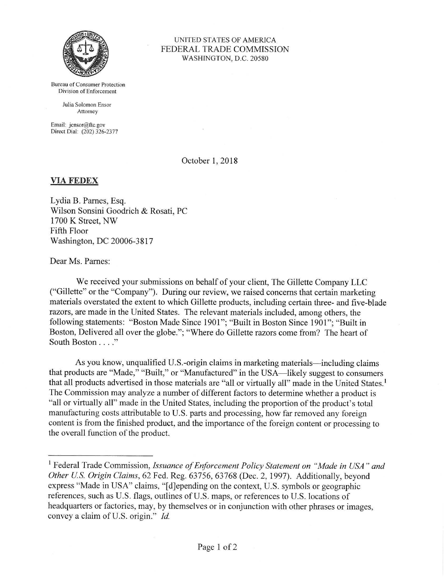

UNITED STATES OF AMERICA FEDERAL TRADE COMMISSION WASHINGTON, D.C. 20580

Bureau of Consumer Protection Division of Enforcement

> Julia Solomon Ensor Attorney

Email: jensor@ftc.gov Direct Dial: (202) 326-2377

October 1, 2018

## **VIAFEDEX**

Lydia B. Parnes, Esq. Wilson Sonsini Goodrich & Rosati, PC 1700 K Street, NW Fifth Floor Washington, DC 20006-3817

Dear Ms. Parnes:

We received your submissions on behalf of your client, The Gillette Company LLC ("Gillette" or the "Company"). During our review, we raised concerns that certain marketing materials overstated the extent to which Gillette products, including certain three- and five-blade razors, are made in the United States. The relevant materials included, among others, the following statements: "Boston Made Since 1901"; "Built in Boston Since 1901"; "Built in Boston, Delivered all over the globe."; "Where do Gillette razors come from? The heart of South Boston . . . ."

As you know, unqualified U.S.-origin claims in marketing materials—including claims that products are "Made," "Built," or "Manufactured" in the USA—likely suggest to consumers that all products advertised in those materials are "all or virtually all" made in the United States.<sup>1</sup> The Commission may analyze a number of different factors to determine whether a product is "all or virtually all" made in the United States, including the proportion of the product's total manufacturing costs attributable to U.S. parts and processing, how far removed any foreign content is from the finished product, and the importance of the foreign content or processing to the overall function of the product.

<sup>&</sup>lt;sup>1</sup> Federal Trade Commission, *Issuance of Enforcement Policy Statement on "Made in USA" and Other U.S. Origin Claims, 62 Fed. Reg. 63756, 63768 (Dec. 2, 1997). Additionally, beyond* express "Made in USA" claims, "[d]epending on the context, U.S. symbols or geographic references, such as U.S. flags, outlines of U.S. maps, or references to U.S. locations of headquarters or factories, may, by themselves or in conjunction with other phrases or images, convey a claim of U.S. origin." *Id.*